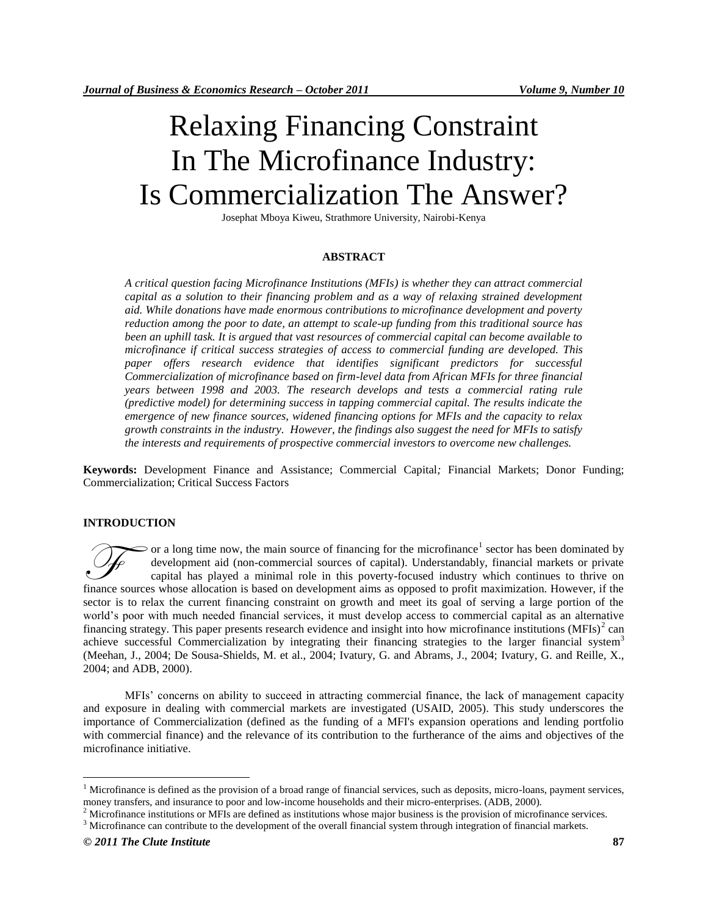# Relaxing Financing Constraint In The Microfinance Industry: Is Commercialization The Answer?

Josephat Mboya Kiweu, Strathmore University, Nairobi-Kenya

### **ABSTRACT**

*A critical question facing Microfinance Institutions (MFIs) is whether they can attract commercial capital as a solution to their financing problem and as a way of relaxing strained development aid. While donations have made enormous contributions to microfinance development and poverty reduction among the poor to date, an attempt to scale-up funding from this traditional source has been an uphill task. It is argued that vast resources of commercial capital can become available to microfinance if critical success strategies of access to commercial funding are developed. This paper offers research evidence that identifies significant predictors for successful Commercialization of microfinance based on firm-level data from African MFIs for three financial years between 1998 and 2003. The research develops and tests a commercial rating rule (predictive model) for determining success in tapping commercial capital. The results indicate the emergence of new finance sources, widened financing options for MFIs and the capacity to relax growth constraints in the industry. However, the findings also suggest the need for MFIs to satisfy the interests and requirements of prospective commercial investors to overcome new challenges.* 

**Keywords:** Development Finance and Assistance; Commercial Capital*;* Financial Markets; Donor Funding; Commercialization; Critical Success Factors

#### **INTRODUCTION**

or a long time now, the main source of financing for the microfinance<sup>1</sup> sector has been dominated by development aid (non-commercial sources of capital). Understandably, financial markets or private capital has played a minimal role in this poverty-focused industry which continues to thrive on finance sources whose allocation is based on development aims as opposed to profit maximization. However, if the finance sources whose allocation is based on development aims as opposed to profit maximization. However, if sector is to relax the current financing constraint on growth and meet its goal of serving a large portion of the world"s poor with much needed financial services, it must develop access to commercial capital as an alternative financing strategy. This paper presents research evidence and insight into how microfinance institutions  $(MFIs)^2$  can achieve successful Commercialization by integrating their financing strategies to the larger financial system<sup>3</sup> (Meehan, J., 2004; De Sousa-Shields, M. et al., 2004; Ivatury, G. and Abrams, J., 2004; Ivatury, G. and Reille, X., 2004; and ADB, 2000).

MFIs" concerns on ability to succeed in attracting commercial finance, the lack of management capacity and exposure in dealing with commercial markets are investigated (USAID, 2005). This study underscores the importance of Commercialization (defined as the funding of a MFI's expansion operations and lending portfolio with commercial finance) and the relevance of its contribution to the furtherance of the aims and objectives of the microfinance initiative.

<sup>&</sup>lt;sup>1</sup> Microfinance is defined as the provision of a broad range of financial services, such as deposits, micro-loans, payment services, money transfers, and insurance to poor and low-income households and their micro-enterprises. (ADB, 2000).

 $<sup>2</sup>$  Microfinance institutions or MFIs are defined as institutions whose major business is the provision of microfinance services.</sup>

<sup>&</sup>lt;sup>3</sup> Microfinance can contribute to the development of the overall financial system through integration of financial markets.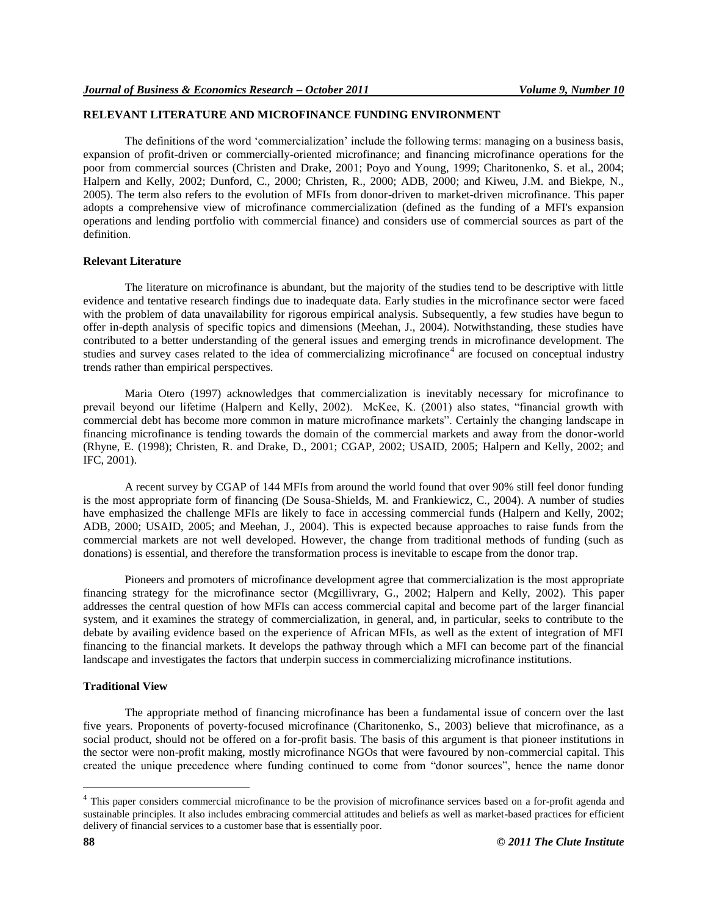# **RELEVANT LITERATURE AND MICROFINANCE FUNDING ENVIRONMENT**

The definitions of the word "commercialization" include the following terms: managing on a business basis, expansion of profit-driven or commercially-oriented microfinance; and financing microfinance operations for the poor from commercial sources (Christen and Drake, 2001; Poyo and Young, 1999; Charitonenko, S. et al., 2004; Halpern and Kelly, 2002; Dunford, C., 2000; Christen, R., 2000; ADB, 2000; and Kiweu, J.M. and Biekpe, N., 2005). The term also refers to the evolution of MFIs from donor-driven to market-driven microfinance. This paper adopts a comprehensive view of microfinance commercialization (defined as the funding of a MFI's expansion operations and lending portfolio with commercial finance) and considers use of commercial sources as part of the definition.

# **Relevant Literature**

The literature on microfinance is abundant, but the majority of the studies tend to be descriptive with little evidence and tentative research findings due to inadequate data. Early studies in the microfinance sector were faced with the problem of data unavailability for rigorous empirical analysis. Subsequently, a few studies have begun to offer in-depth analysis of specific topics and dimensions (Meehan, J., 2004). Notwithstanding, these studies have contributed to a better understanding of the general issues and emerging trends in microfinance development. The studies and survey cases related to the idea of commercializing microfinance<sup>4</sup> are focused on conceptual industry trends rather than empirical perspectives.

Maria Otero (1997) acknowledges that commercialization is inevitably necessary for microfinance to prevail beyond our lifetime (Halpern and Kelly, 2002). McKee, K. (2001) also states, "financial growth with commercial debt has become more common in mature microfinance markets". Certainly the changing landscape in financing microfinance is tending towards the domain of the commercial markets and away from the donor-world (Rhyne, E. (1998); Christen, R. and Drake, D., 2001; CGAP, 2002; USAID, 2005; Halpern and Kelly, 2002; and IFC, 2001).

A recent survey by CGAP of 144 MFIs from around the world found that over 90% still feel donor funding is the most appropriate form of financing (De Sousa-Shields, M. and Frankiewicz, C., 2004). A number of studies have emphasized the challenge MFIs are likely to face in accessing commercial funds (Halpern and Kelly, 2002; ADB, 2000; USAID, 2005; and Meehan, J., 2004). This is expected because approaches to raise funds from the commercial markets are not well developed. However, the change from traditional methods of funding (such as donations) is essential, and therefore the transformation process is inevitable to escape from the donor trap.

Pioneers and promoters of microfinance development agree that commercialization is the most appropriate financing strategy for the microfinance sector (Mcgillivrary, G., 2002; Halpern and Kelly, 2002). This paper addresses the central question of how MFIs can access commercial capital and become part of the larger financial system, and it examines the strategy of commercialization, in general, and, in particular, seeks to contribute to the debate by availing evidence based on the experience of African MFIs, as well as the extent of integration of MFI financing to the financial markets. It develops the pathway through which a MFI can become part of the financial landscape and investigates the factors that underpin success in commercializing microfinance institutions.

### **Traditional View**

The appropriate method of financing microfinance has been a fundamental issue of concern over the last five years. Proponents of poverty-focused microfinance (Charitonenko, S., 2003) believe that microfinance, as a social product, should not be offered on a for-profit basis. The basis of this argument is that pioneer institutions in the sector were non-profit making, mostly microfinance NGOs that were favoured by non-commercial capital. This created the unique precedence where funding continued to come from "donor sources", hence the name donor

<sup>&</sup>lt;sup>4</sup> This paper considers commercial microfinance to be the provision of microfinance services based on a for-profit agenda and sustainable principles. It also includes embracing commercial attitudes and beliefs as well as market-based practices for efficient delivery of financial services to a customer base that is essentially poor.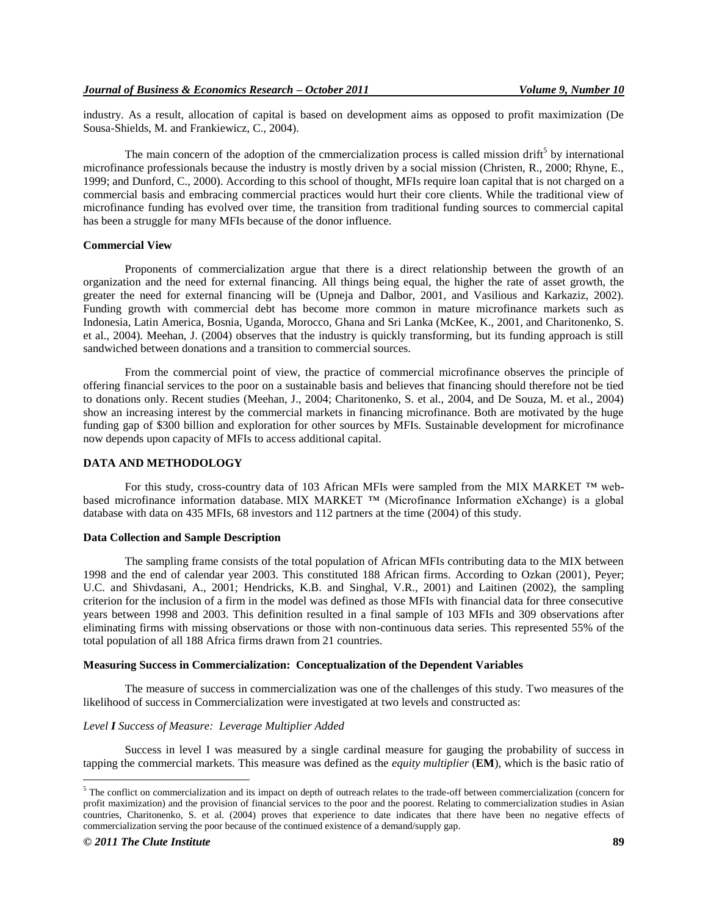industry. As a result, allocation of capital is based on development aims as opposed to profit maximization (De Sousa-Shields, M. and Frankiewicz, C., 2004).

The main concern of the adoption of the cmmercialization process is called mission drift<sup>5</sup> by international microfinance professionals because the industry is mostly driven by a social mission (Christen, R., 2000; Rhyne, E., 1999; and Dunford, C., 2000). According to this school of thought, MFIs require loan capital that is not charged on a commercial basis and embracing commercial practices would hurt their core clients. While the traditional view of microfinance funding has evolved over time, the transition from traditional funding sources to commercial capital has been a struggle for many MFIs because of the donor influence.

#### **Commercial View**

Proponents of commercialization argue that there is a direct relationship between the growth of an organization and the need for external financing. All things being equal, the higher the rate of asset growth, the greater the need for external financing will be (Upneja and Dalbor, 2001, and Vasilious and Karkaziz, 2002). Funding growth with commercial debt has become more common in mature microfinance markets such as Indonesia, Latin America, Bosnia, Uganda, Morocco, Ghana and Sri Lanka (McKee, K., 2001, and Charitonenko, S. et al., 2004). Meehan, J. (2004) observes that the industry is quickly transforming, but its funding approach is still sandwiched between donations and a transition to commercial sources.

From the commercial point of view, the practice of commercial microfinance observes the principle of offering financial services to the poor on a sustainable basis and believes that financing should therefore not be tied to donations only. Recent studies (Meehan, J., 2004; Charitonenko, S. et al., 2004, and De Souza, M. et al., 2004) show an increasing interest by the commercial markets in financing microfinance. Both are motivated by the huge funding gap of \$300 billion and exploration for other sources by MFIs. Sustainable development for microfinance now depends upon capacity of MFIs to access additional capital.

#### **DATA AND METHODOLOGY**

For this study, cross-country data of 103 African MFIs were sampled from the MIX MARKET ™ webbased microfinance information database. MIX MARKET ™ (Microfinance Information eXchange) is a global database with data on 435 MFIs, 68 investors and 112 partners at the time (2004) of this study.

#### **Data Collection and Sample Description**

The sampling frame consists of the total population of African MFIs contributing data to the MIX between 1998 and the end of calendar year 2003. This constituted 188 African firms. According to Ozkan (2001), Peyer; U.C. and Shivdasani, A., 2001; Hendricks, K.B. and Singhal, V.R., 2001) and Laitinen (2002), the sampling criterion for the inclusion of a firm in the model was defined as those MFIs with financial data for three consecutive years between 1998 and 2003. This definition resulted in a final sample of 103 MFIs and 309 observations after eliminating firms with missing observations or those with non-continuous data series. This represented 55% of the total population of all 188 Africa firms drawn from 21 countries.

#### **Measuring Success in Commercialization: Conceptualization of the Dependent Variables**

The measure of success in commercialization was one of the challenges of this study. Two measures of the likelihood of success in Commercialization were investigated at two levels and constructed as:

### *Level I Success of Measure: Leverage Multiplier Added*

Success in level I was measured by a single cardinal measure for gauging the probability of success in tapping the commercial markets. This measure was defined as the *equity multiplier* (**EM**), which is the basic ratio of

 $5$  The conflict on commercialization and its impact on depth of outreach relates to the trade-off between commercialization (concern for profit maximization) and the provision of financial services to the poor and the poorest. Relating to commercialization studies in Asian countries, Charitonenko, S. et al. (2004) proves that experience to date indicates that there have been no negative effects of commercialization serving the poor because of the continued existence of a demand/supply gap.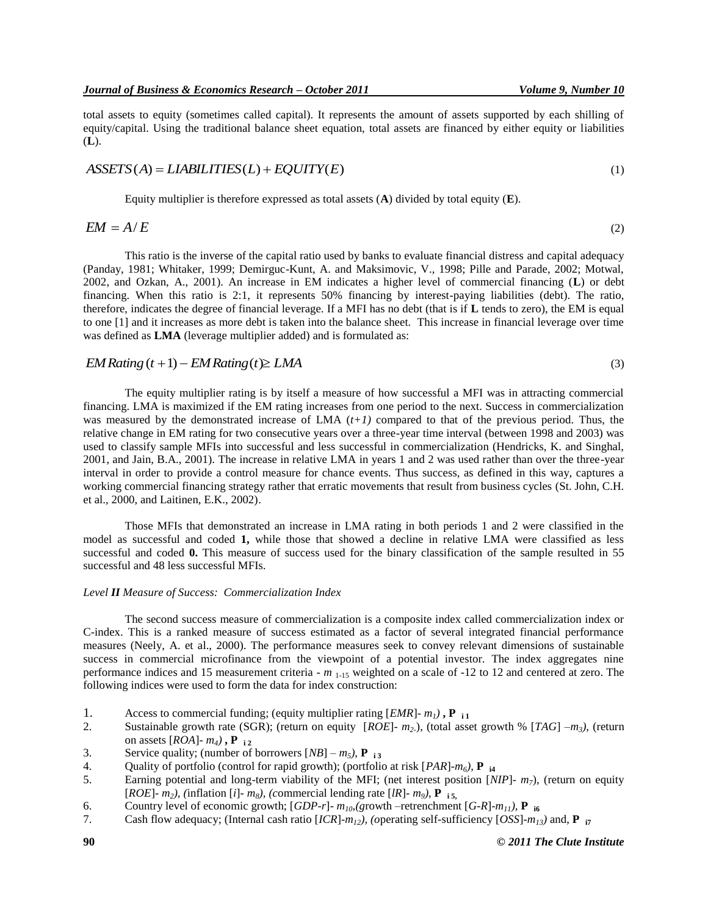(3)

total assets to equity (sometimes called capital). It represents the amount of assets supported by each shilling of equity/capital. Using the traditional balance sheet equation, total assets are financed by either equity or liabilities (**L**).

#### $ASSETS(A) = LIABILITY(L) + EQUITY(E)$ (1)

Equity multiplier is therefore expressed as total assets (**A**) divided by total equity (**E**).

$$
EM = A/E \tag{2}
$$

This ratio is the inverse of the capital ratio used by banks to evaluate financial distress and capital adequacy (Panday, 1981; Whitaker, 1999; Demirguc-Kunt, A. and Maksimovic, V., 1998; Pille and Parade, 2002; Motwal, 2002, and Ozkan, A., 2001). An increase in EM indicates a higher level of commercial financing (**L**) or debt financing. When this ratio is 2:1, it represents 50% financing by interest-paying liabilities (debt). The ratio, therefore, indicates the degree of financial leverage. If a MFI has no debt (that is if **L** tends to zero), the EM is equal to one [1] and it increases as more debt is taken into the balance sheet. This increase in financial leverage over time was defined as **LMA** (leverage multiplier added) and is formulated as:

# *EM Rating* $(t+1)$  – *EM Rating* $(t)$   $\geq$  *LMA*

The equity multiplier rating is by itself a measure of how successful a MFI was in attracting commercial financing. LMA is maximized if the EM rating increases from one period to the next. Success in commercialization was measured by the demonstrated increase of LMA (*t+1)* compared to that of the previous period. Thus, the relative change in EM rating for two consecutive years over a three-year time interval (between 1998 and 2003) was used to classify sample MFIs into successful and less successful in commercialization (Hendricks, K. and Singhal, 2001, and Jain, B.A., 2001). The increase in relative LMA in years 1 and 2 was used rather than over the three-year interval in order to provide a control measure for chance events. Thus success, as defined in this way, captures a working commercial financing strategy rather that erratic movements that result from business cycles (St. John, C.H. et al., 2000, and Laitinen, E.K., 2002).

Those MFIs that demonstrated an increase in LMA rating in both periods 1 and 2 were classified in the model as successful and coded **1,** while those that showed a decline in relative LMA were classified as less successful and coded **0.** This measure of success used for the binary classification of the sample resulted in 55 successful and 48 less successful MFIs.

# *Level II Measure of Success: Commercialization Index*

The second success measure of commercialization is a composite index called commercialization index or C-index. This is a ranked measure of success estimated as a factor of several integrated financial performance measures (Neely, A. et al., 2000). The performance measures seek to convey relevant dimensions of sustainable success in commercial microfinance from the viewpoint of a potential investor. The index aggregates nine performance indices and 15 measurement criteria - *m* 1-15 weighted on a scale of -12 to 12 and centered at zero. The following indices were used to form the data for index construction:

- 1. Access to commercial funding; (equity multiplier rating [*EMR*]- *m1)* **, P i 1**
- 2. Sustainable growth rate (SGR); (return on equity [*ROE*]- *m2*-), (total asset growth % [*TAG*] –*m3),* (return on assets  $[ROA]$ -  $m_4$ ),  $\mathbf{P}_{12}$
- 3. Service quality; (number of borrowers  $[NB] m_5$ ), **P** i<sub>3</sub>
- 4. Quality of portfolio (control for rapid growth); (portfolio at risk [*PAR*]-*m6),* **P i4**
- 5. Earning potential and long-term viability of the MFI; (net interest position [*NIP*]- *m7*), (return on equity [*ROE*]- *m2), (*inflation [*i*]*- m8), (c*ommercial lending rate [*lR*]*- m9),* **P i 5,**
- 6. Country level of economic growth;  $[GDP-r]$   $m_{10}$ , (growth –retrenchment  $[G-R]$ - $m_{11}$ ),  $P_{16}$
- 7. Cash flow adequacy; (Internal cash ratio [*ICR*]-*m12), (o*perating self-sufficiency [*OSS*]-*m13)* and, **P i7**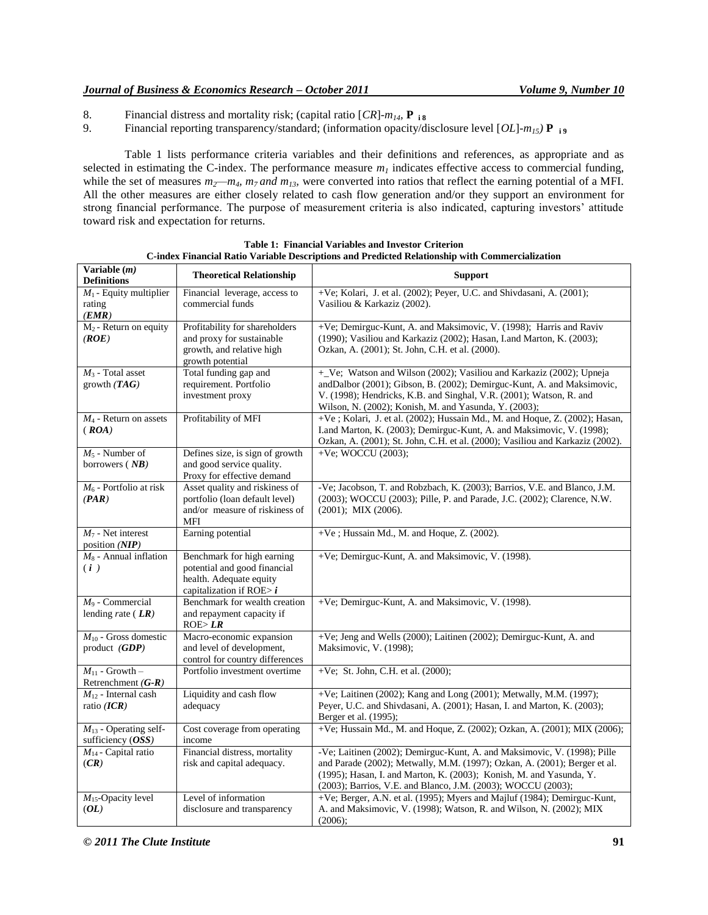- 8. Financial distress and mortality risk; (capital ratio  $[CR]$ - $m_{14}$ , **P is** 9. Financial reporting transparency/standard; (information opacity/diness)
- 9. Financial reporting transparency/standard; (information opacity/disclosure level [*OL*]-*m15)* **P i 9**

Table 1 lists performance criteria variables and their definitions and references, as appropriate and as selected in estimating the C-index. The performance measure  $m<sub>l</sub>$  indicates effective access to commercial funding, while the set of measures  $m_2 - m_4$ ,  $m_7$  and  $m_{13}$ , were converted into ratios that reflect the earning potential of a MFI. All the other measures are either closely related to cash flow generation and/or they support an environment for strong financial performance. The purpose of measurement criteria is also indicated, capturing investors' attitude toward risk and expectation for returns.

| Variable $(m)$<br><b>Definitions</b>              | <b>Theoretical Relationship</b>                                                                                      | <b>Support</b>                                                                                                                                                                                                                                                                               |
|---------------------------------------------------|----------------------------------------------------------------------------------------------------------------------|----------------------------------------------------------------------------------------------------------------------------------------------------------------------------------------------------------------------------------------------------------------------------------------------|
| $M_1$ - Equity multiplier<br>rating<br>(EMR)      | Financial leverage, access to<br>commercial funds                                                                    | +Ve; Kolari, J. et al. (2002); Peyer, U.C. and Shivdasani, A. (2001);<br>Vasiliou & Karkaziz (2002).                                                                                                                                                                                         |
| $M_2$ - Return on equity<br>(ROE)                 | Profitability for shareholders<br>and proxy for sustainable<br>growth, and relative high<br>growth potential         | +Ve; Demirguc-Kunt, A. and Maksimovic, V. (1998); Harris and Raviv<br>(1990); Vasiliou and Karkaziz (2002); Hasan, I.and Marton, K. (2003);<br>Ozkan, A. (2001); St. John, C.H. et al. (2000).                                                                                               |
| $M_3$ - Total asset<br>growth $(TAG)$             | Total funding gap and<br>requirement. Portfolio<br>investment proxy                                                  | +_Ve; Watson and Wilson (2002); Vasiliou and Karkaziz (2002); Upneja<br>andDalbor (2001); Gibson, B. (2002); Demirguc-Kunt, A. and Maksimovic,<br>V. (1998); Hendricks, K.B. and Singhal, V.R. (2001); Watson, R. and<br>Wilson, N. (2002); Konish, M. and Yasunda, Y. (2003);               |
| $M_4$ - Return on assets<br>(ROA)                 | Profitability of MFI                                                                                                 | +Ve; Kolari, J. et al. (2002); Hussain Md., M. and Hoque, Z. (2002); Hasan,<br>I.and Marton, K. (2003); Demirguc-Kunt, A. and Maksimovic, V. (1998);<br>Ozkan, A. (2001); St. John, C.H. et al. (2000); Vasiliou and Karkaziz (2002).                                                        |
| $M_5$ - Number of<br>borrowers $(NB)$             | Defines size, is sign of growth<br>and good service quality.<br>Proxy for effective demand                           | +Ve; WOCCU $(2003)$ ;                                                                                                                                                                                                                                                                        |
| $M_6$ - Portfolio at risk<br>(PAR)                | Asset quality and riskiness of<br>portfolio (loan default level)<br>and/or measure of riskiness of<br>MFI            | -Ve; Jacobson, T. and Robzbach, K. (2003); Barrios, V.E. and Blanco, J.M.<br>(2003); WOCCU (2003); Pille, P. and Parade, J.C. (2002); Clarence, N.W.<br>$(2001)$ ; MIX $(2006)$ .                                                                                                            |
| $M_7$ - Net interest<br>position $(NIP)$          | Earning potential                                                                                                    | $+Ve$ ; Hussain Md., M. and Hoque, Z. (2002).                                                                                                                                                                                                                                                |
| $M_8$ - Annual inflation<br>(i)                   | Benchmark for high earning<br>potential and good financial<br>health. Adequate equity<br>capitalization if ROE $> i$ | +Ve; Demirguc-Kunt, A. and Maksimovic, V. (1998).                                                                                                                                                                                                                                            |
| $M_9$ - Commercial<br>lending rate ( $LR$ )       | Benchmark for wealth creation<br>and repayment capacity if<br>ROE > LR                                               | +Ve; Demirguc-Kunt, A. and Maksimovic, V. (1998).                                                                                                                                                                                                                                            |
| $M_{10}$ - Gross domestic<br>product (GDP)        | Macro-economic expansion<br>and level of development,<br>control for country differences                             | +Ve; Jeng and Wells (2000); Laitinen (2002); Demirguc-Kunt, A. and<br>Maksimovic, V. (1998);                                                                                                                                                                                                 |
| $M_{11}$ - Growth -<br>Retrenchment $(G-R)$       | Portfolio investment overtime                                                                                        | +Ve; St. John, C.H. et al. $(2000)$ ;                                                                                                                                                                                                                                                        |
| $M_{12}$ - Internal cash<br>ratio $(ICR)$         | Liquidity and cash flow<br>adequacy                                                                                  | +Ve; Laitinen (2002); Kang and Long (2001); Metwally, M.M. (1997);<br>Peyer, U.C. and Shivdasani, A. (2001); Hasan, I. and Marton, K. (2003);<br>Berger et al. (1995);                                                                                                                       |
| $M_{13}$ - Operating self-<br>sufficiency $(OSS)$ | Cost coverage from operating<br>income                                                                               | +Ve; Hussain Md., M. and Hoque, Z. (2002); Ozkan, A. (2001); MIX (2006);                                                                                                                                                                                                                     |
| $M_{14}$ - Capital ratio<br>(CR)                  | Financial distress, mortality<br>risk and capital adequacy.                                                          | -Ve; Laitinen (2002); Demirguc-Kunt, A. and Maksimovic, V. (1998); Pille<br>and Parade (2002); Metwally, M.M. (1997); Ozkan, A. (2001); Berger et al.<br>(1995); Hasan, I. and Marton, K. (2003); Konish, M. and Yasunda, Y.<br>(2003); Barrios, V.E. and Blanco, J.M. (2003); WOCCU (2003); |
| $M_{15}$ -Opacity level<br>(OL)                   | Level of information<br>disclosure and transparency                                                                  | +Ve; Berger, A.N. et al. (1995); Myers and Majluf (1984); Demirguc-Kunt,<br>A. and Maksimovic, V. (1998); Watson, R. and Wilson, N. (2002); MIX<br>(2006);                                                                                                                                   |

**Table 1: Financial Variables and Investor Criterion C-index Financial Ratio Variable Descriptions and Predicted Relationship with Commercialization**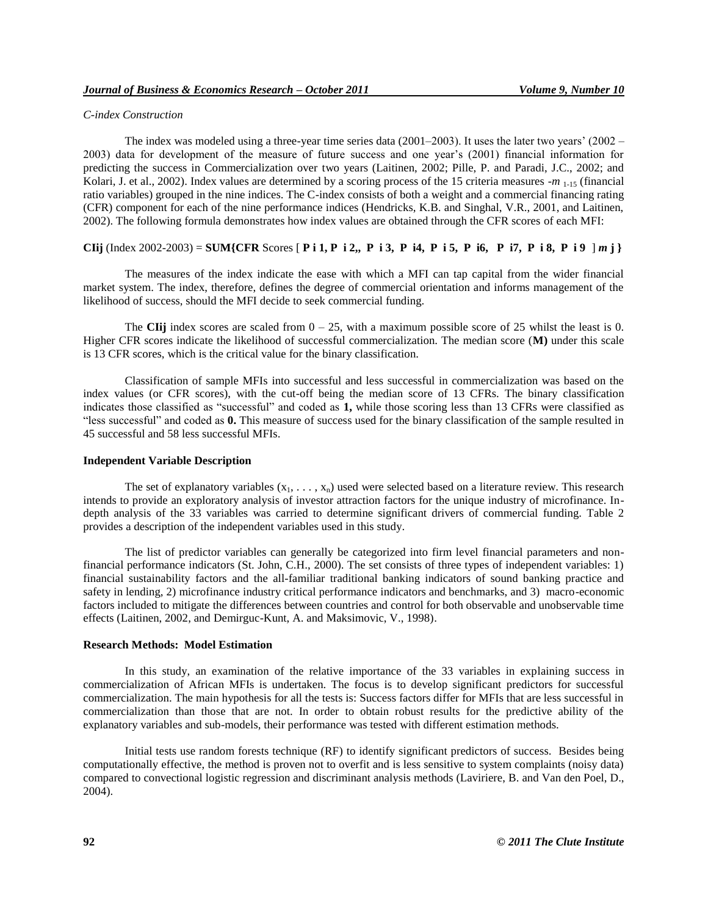#### *C-index Construction*

The index was modeled using a three-year time series data  $(2001-2003)$ . It uses the later two years'  $(2002 -$ 2003) data for development of the measure of future success and one year"s (2001) financial information for predicting the success in Commercialization over two years (Laitinen, 2002; Pille, P. and Paradi, J.C., 2002; and Kolari, J. et al., 2002). Index values are determined by a scoring process of the 15 criteria measures -*m* <sub>1-15</sub> (financial ratio variables) grouped in the nine indices. The C-index consists of both a weight and a commercial financing rating (CFR) component for each of the nine performance indices (Hendricks, K.B. and Singhal, V.R., 2001, and Laitinen, 2002). The following formula demonstrates how index values are obtained through the CFR scores of each MFI:

### **CIij** (Index 2002-2003) = **SUM{CFR** Scores [ **P** i 1, **P** i 2,, **P** i 3, **P** i4, **P** i 5, **P** i6, **P** i7, **P** i 8, **P** i 9  $|m|$ }

The measures of the index indicate the ease with which a MFI can tap capital from the wider financial market system. The index, therefore, defines the degree of commercial orientation and informs management of the likelihood of success, should the MFI decide to seek commercial funding.

The **CII**j index scores are scaled from  $0 - 25$ , with a maximum possible score of 25 whilst the least is 0. Higher CFR scores indicate the likelihood of successful commercialization. The median score (**M)** under this scale is 13 CFR scores, which is the critical value for the binary classification.

Classification of sample MFIs into successful and less successful in commercialization was based on the index values (or CFR scores), with the cut-off being the median score of 13 CFRs. The binary classification indicates those classified as "successful" and coded as **1,** while those scoring less than 13 CFRs were classified as "less successful" and coded as **0.** This measure of success used for the binary classification of the sample resulted in 45 successful and 58 less successful MFIs.

#### **Independent Variable Description**

The set of explanatory variables  $(x_1, \ldots, x_n)$  used were selected based on a literature review. This research intends to provide an exploratory analysis of investor attraction factors for the unique industry of microfinance. Indepth analysis of the 33 variables was carried to determine significant drivers of commercial funding. Table 2 provides a description of the independent variables used in this study.

The list of predictor variables can generally be categorized into firm level financial parameters and nonfinancial performance indicators (St. John, C.H., 2000). The set consists of three types of independent variables: 1) financial sustainability factors and the all-familiar traditional banking indicators of sound banking practice and safety in lending, 2) microfinance industry critical performance indicators and benchmarks, and 3) macro-economic factors included to mitigate the differences between countries and control for both observable and unobservable time effects (Laitinen, 2002, and Demirguc-Kunt, A. and Maksimovic, V., 1998).

#### **Research Methods: Model Estimation**

In this study, an examination of the relative importance of the 33 variables in explaining success in commercialization of African MFIs is undertaken. The focus is to develop significant predictors for successful commercialization. The main hypothesis for all the tests is: Success factors differ for MFIs that are less successful in commercialization than those that are not. In order to obtain robust results for the predictive ability of the explanatory variables and sub-models, their performance was tested with different estimation methods.

Initial tests use random forests technique (RF) to identify significant predictors of success. Besides being computationally effective, the method is proven not to overfit and is less sensitive to system complaints (noisy data) compared to convectional logistic regression and discriminant analysis methods (Laviriere, B. and Van den Poel, D., 2004).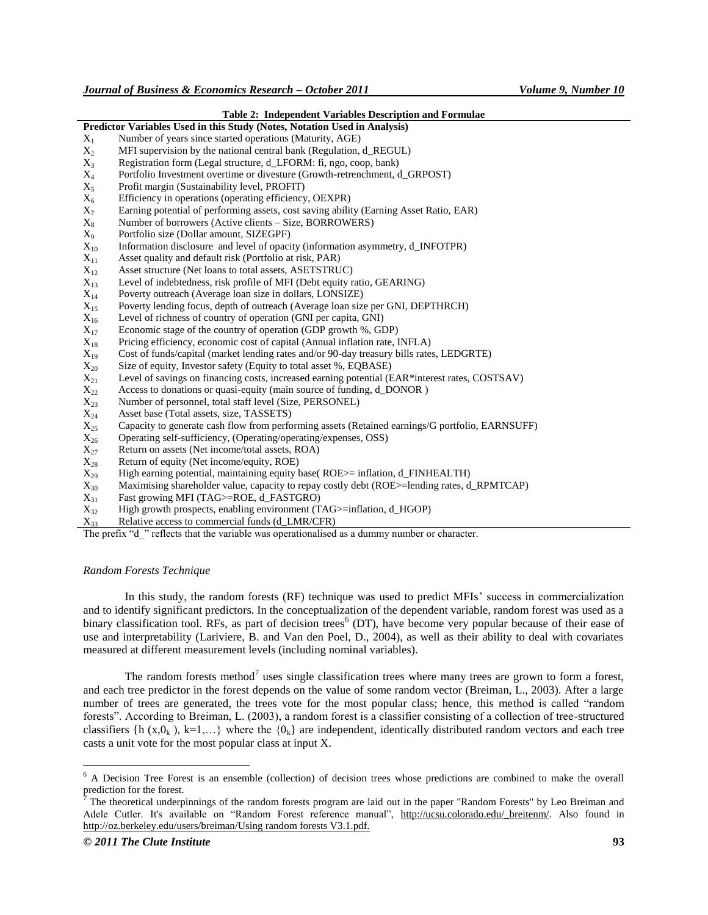| <b>Table 2: Independent Variables Description and Formulae</b>            |                                                                                                 |  |  |  |
|---------------------------------------------------------------------------|-------------------------------------------------------------------------------------------------|--|--|--|
| Predictor Variables Used in this Study (Notes, Notation Used in Analysis) |                                                                                                 |  |  |  |
| $X_1$                                                                     | Number of years since started operations (Maturity, AGE)                                        |  |  |  |
| $X_2$                                                                     | MFI supervision by the national central bank (Regulation, d_REGUL)                              |  |  |  |
| $X_3$                                                                     | Registration form (Legal structure, d_LFORM: fi, ngo, coop, bank)                               |  |  |  |
| $X_4$                                                                     | Portfolio Investment overtime or divesture (Growth-retrenchment, d_GRPOST)                      |  |  |  |
| $X_5$                                                                     | Profit margin (Sustainability level, PROFIT)                                                    |  |  |  |
| $X_6$                                                                     | Efficiency in operations (operating efficiency, OEXPR)                                          |  |  |  |
| $X_7$                                                                     | Earning potential of performing assets, cost saving ability (Earning Asset Ratio, EAR)          |  |  |  |
| $X_8$                                                                     | Number of borrowers (Active clients – Size, BORROWERS)                                          |  |  |  |
| $X_9$                                                                     | Portfolio size (Dollar amount, SIZEGPF)                                                         |  |  |  |
| $X_{10}$                                                                  | Information disclosure and level of opacity (information asymmetry, d_INFOTPR)                  |  |  |  |
| $X_{11}$                                                                  | Asset quality and default risk (Portfolio at risk, PAR)                                         |  |  |  |
| $X_{12}$                                                                  | Asset structure (Net loans to total assets, ASETSTRUC)                                          |  |  |  |
| $X_{13}$                                                                  | Level of indebtedness, risk profile of MFI (Debt equity ratio, GEARING)                         |  |  |  |
| $X_{14}$                                                                  | Poverty outreach (Average loan size in dollars, LONSIZE)                                        |  |  |  |
| $X_{15}$                                                                  | Poverty lending focus, depth of outreach (Average loan size per GNI, DEPTHRCH)                  |  |  |  |
| $\rm X_{16}$                                                              | Level of richness of country of operation (GNI per capita, GNI)                                 |  |  |  |
| $X_{17}$                                                                  | Economic stage of the country of operation (GDP growth %, GDP)                                  |  |  |  |
| $X_{18}$                                                                  | Pricing efficiency, economic cost of capital (Annual inflation rate, INFLA)                     |  |  |  |
| $X_{19}$                                                                  | Cost of funds/capital (market lending rates and/or 90-day treasury bills rates, LEDGRTE)        |  |  |  |
| $X_{20}$                                                                  | Size of equity, Investor safety (Equity to total asset %, EQBASE)                               |  |  |  |
| $X_{21}$                                                                  | Level of savings on financing costs, increased earning potential (EAR*interest rates, COSTSAV)  |  |  |  |
| $X_{22}$                                                                  | Access to donations or quasi-equity (main source of funding, d_DONOR)                           |  |  |  |
| $X_{23}$                                                                  | Number of personnel, total staff level (Size, PERSONEL)                                         |  |  |  |
| $X_{24}$                                                                  | Asset base (Total assets, size, TASSETS)                                                        |  |  |  |
| $X_{25}$                                                                  | Capacity to generate cash flow from performing assets (Retained earnings/G portfolio, EARNSUFF) |  |  |  |
| $X_{26}$                                                                  | Operating self-sufficiency, (Operating/operating/expenses, OSS)                                 |  |  |  |
| $X_{27}$                                                                  | Return on assets (Net income/total assets, ROA)                                                 |  |  |  |
| $\mathrm{X}_{28}$                                                         | Return of equity (Net income/equity, ROE)                                                       |  |  |  |
| $X_{29}$                                                                  | High earning potential, maintaining equity base(ROE>= inflation, d_FINHEALTH)                   |  |  |  |
| $X_{30}$                                                                  | Maximising shareholder value, capacity to repay costly debt (ROE>=lending rates, d_RPMTCAP)     |  |  |  |
| $X_{31}$                                                                  | Fast growing MFI (TAG>=ROE, d_FASTGRO)                                                          |  |  |  |
| $X_{32}$                                                                  | High growth prospects, enabling environment (TAG>=inflation, d_HGOP)                            |  |  |  |
| Y.,                                                                       | Relative access to commercial funds (d. LMR/CER)                                                |  |  |  |

Relative access to commercial funds (d\_LMR/CFR)

The prefix "d" reflects that the variable was operationalised as a dummy number or character.

# *Random Forests Technique*

In this study, the random forests (RF) technique was used to predict MFIs" success in commercialization and to identify significant predictors. In the conceptualization of the dependent variable, random forest was used as a binary classification tool. RFs, as part of decision trees<sup>6</sup> (DT), have become very popular because of their ease of use and interpretability (Lariviere, B. and Van den Poel, D., 2004), as well as their ability to deal with covariates measured at different measurement levels (including nominal variables).

The random forests method<sup>7</sup> uses single classification trees where many trees are grown to form a forest, and each tree predictor in the forest depends on the value of some random vector (Breiman, L., 2003). After a large number of trees are generated, the trees vote for the most popular class; hence, this method is called "random forests". According to Breiman, L. (2003), a random forest is a classifier consisting of a collection of tree-structured classifiers {h (x,0<sub>k</sub>), k=1,...} where the {0<sub>k</sub>} are independent, identically distributed random vectors and each tree casts a unit vote for the most popular class at input X.

<sup>6</sup> A Decision Tree Forest is an ensemble (collection) of decision trees whose predictions are combined to make the overall prediction for the forest.

<sup>7</sup> The theoretical underpinnings of the random forests program are laid out in the paper "Random Forests" by Leo Breiman and Adele Cutler. It's available on "Random Forest reference manual", [http://ucsu.colorado.edu/\\_breitenm/.](http://ucsu.colorado.edu/_breitenm/) Also found in http://oz.berkeley.edu/users/breiman/Using random forests V3.1.pdf.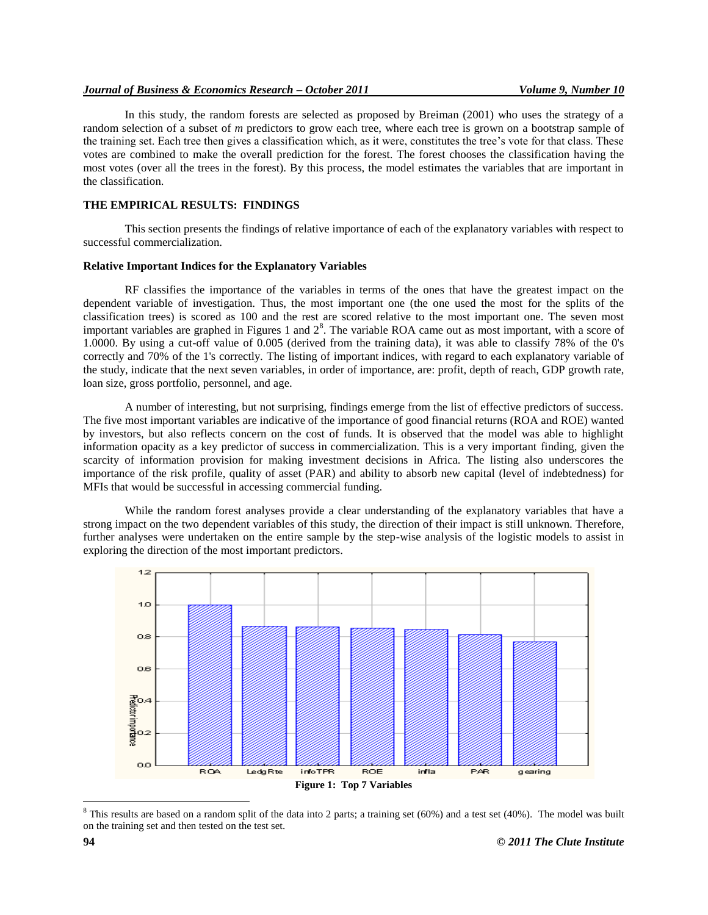#### *Journal of Business & Economics Research – October 2011 Volume 9, Number 10*

In this study, the random forests are selected as proposed by Breiman (2001) who uses the strategy of a random selection of a subset of *m* predictors to grow each tree, where each tree is grown on a bootstrap sample of the training set. Each tree then gives a classification which, as it were, constitutes the tree"s vote for that class. These votes are combined to make the overall prediction for the forest. The forest chooses the classification having the most votes (over all the trees in the forest). By this process, the model estimates the variables that are important in the classification.

### **THE EMPIRICAL RESULTS: FINDINGS**

This section presents the findings of relative importance of each of the explanatory variables with respect to successful commercialization.

#### **Relative Important Indices for the Explanatory Variables**

RF classifies the importance of the variables in terms of the ones that have the greatest impact on the dependent variable of investigation. Thus, the most important one (the one used the most for the splits of the classification trees) is scored as 100 and the rest are scored relative to the most important one. The seven most important variables are graphed in Figures 1 and  $2<sup>8</sup>$ . The variable ROA came out as most important, with a score of 1.0000. By using a cut-off value of 0.005 (derived from the training data), it was able to classify 78% of the 0's correctly and 70% of the 1's correctly. The listing of important indices, with regard to each explanatory variable of the study, indicate that the next seven variables, in order of importance, are: profit, depth of reach, GDP growth rate, loan size, gross portfolio, personnel, and age.

A number of interesting, but not surprising, findings emerge from the list of effective predictors of success. The five most important variables are indicative of the importance of good financial returns (ROA and ROE) wanted by investors, but also reflects concern on the cost of funds. It is observed that the model was able to highlight information opacity as a key predictor of success in commercialization. This is a very important finding, given the scarcity of information provision for making investment decisions in Africa. The listing also underscores the importance of the risk profile, quality of asset (PAR) and ability to absorb new capital (level of indebtedness) for MFIs that would be successful in accessing commercial funding.

While the random forest analyses provide a clear understanding of the explanatory variables that have a strong impact on the two dependent variables of this study, the direction of their impact is still unknown. Therefore, further analyses were undertaken on the entire sample by the step-wise analysis of the logistic models to assist in exploring the direction of the most important predictors.



 $8$  This results are based on a random split of the data into 2 parts; a training set (60%) and a test set (40%). The model was built on the training set and then tested on the test set.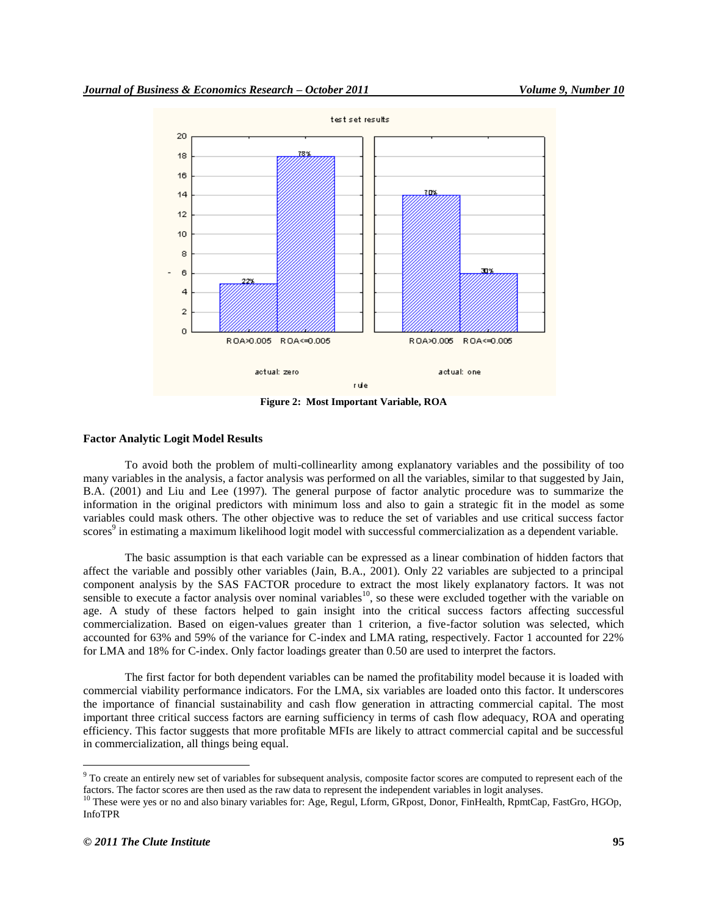

**Figure 2: Most Important Variable, ROA**

#### **Factor Analytic Logit Model Results**

To avoid both the problem of multi-collinearlity among explanatory variables and the possibility of too many variables in the analysis, a factor analysis was performed on all the variables, similar to that suggested by Jain, B.A. (2001) and Liu and Lee (1997). The general purpose of factor analytic procedure was to summarize the information in the original predictors with minimum loss and also to gain a strategic fit in the model as some variables could mask others. The other objective was to reduce the set of variables and use critical success factor scores<sup>9</sup> in estimating a maximum likelihood logit model with successful commercialization as a dependent variable.

The basic assumption is that each variable can be expressed as a linear combination of hidden factors that affect the variable and possibly other variables (Jain, B.A., 2001). Only 22 variables are subjected to a principal component analysis by the SAS FACTOR procedure to extract the most likely explanatory factors. It was not sensible to execute a factor analysis over nominal variables<sup>10</sup>, so these were excluded together with the variable on age. A study of these factors helped to gain insight into the critical success factors affecting successful commercialization. Based on eigen-values greater than 1 criterion, a five-factor solution was selected, which accounted for 63% and 59% of the variance for C-index and LMA rating, respectively. Factor 1 accounted for 22% for LMA and 18% for C-index. Only factor loadings greater than 0.50 are used to interpret the factors.

The first factor for both dependent variables can be named the profitability model because it is loaded with commercial viability performance indicators. For the LMA, six variables are loaded onto this factor. It underscores the importance of financial sustainability and cash flow generation in attracting commercial capital. The most important three critical success factors are earning sufficiency in terms of cash flow adequacy, ROA and operating efficiency. This factor suggests that more profitable MFIs are likely to attract commercial capital and be successful in commercialization, all things being equal.

<sup>&</sup>lt;sup>9</sup> To create an entirely new set of variables for subsequent analysis, composite factor scores are computed to represent each of the factors. The factor scores are then used as the raw data to represent the independent variables in logit analyses.

<sup>&</sup>lt;sup>10</sup> These were yes or no and also binary variables for: Age, Regul, Lform, GRpost, Donor, FinHealth, RpmtCap, FastGro, HGOp, InfoTPR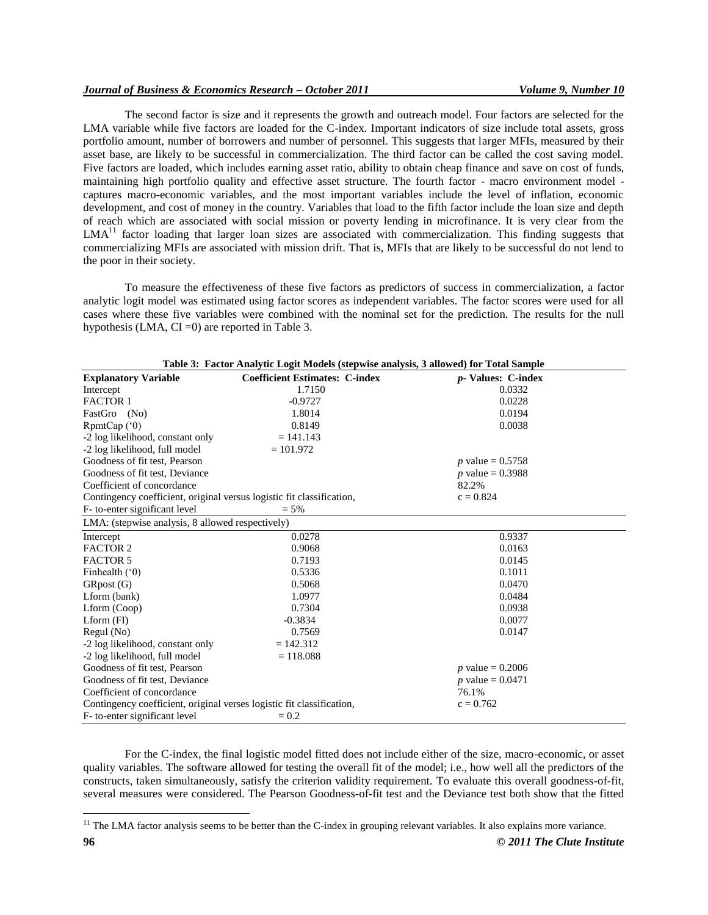# *Journal of Business & Economics Research – October 2011 Volume 9, Number 10*

The second factor is size and it represents the growth and outreach model. Four factors are selected for the LMA variable while five factors are loaded for the C-index. Important indicators of size include total assets, gross portfolio amount, number of borrowers and number of personnel. This suggests that larger MFIs, measured by their asset base, are likely to be successful in commercialization. The third factor can be called the cost saving model. Five factors are loaded, which includes earning asset ratio, ability to obtain cheap finance and save on cost of funds, maintaining high portfolio quality and effective asset structure. The fourth factor - macro environment model captures macro-economic variables, and the most important variables include the level of inflation, economic development, and cost of money in the country. Variables that load to the fifth factor include the loan size and depth of reach which are associated with social mission or poverty lending in microfinance. It is very clear from the  $LMA<sup>11</sup>$  factor loading that larger loan sizes are associated with commercialization. This finding suggests that commercializing MFIs are associated with mission drift. That is, MFIs that are likely to be successful do not lend to the poor in their society.

To measure the effectiveness of these five factors as predictors of success in commercialization, a factor analytic logit model was estimated using factor scores as independent variables. The factor scores were used for all cases where these five variables were combined with the nominal set for the prediction. The results for the null hypothesis (LMA,  $CI = 0$ ) are reported in Table 3.

| Table 3: Factor Analytic Logit Models (stepwise analysis, 3 allowed) for Total Sample |                                       |                            |  |  |
|---------------------------------------------------------------------------------------|---------------------------------------|----------------------------|--|--|
| <b>Explanatory Variable</b>                                                           | <b>Coefficient Estimates: C-index</b> | <i>p</i> - Values: C-index |  |  |
| Intercept                                                                             | 1.7150                                | 0.0332                     |  |  |
| <b>FACTOR 1</b>                                                                       | $-0.9727$                             | 0.0228                     |  |  |
| FastGro (No)                                                                          | 1.8014                                | 0.0194                     |  |  |
| RpmCap(°0)                                                                            | 0.8149                                | 0.0038                     |  |  |
| -2 log likelihood, constant only                                                      | $= 141.143$                           |                            |  |  |
| -2 log likelihood, full model                                                         | $= 101.972$                           |                            |  |  |
| Goodness of fit test, Pearson                                                         |                                       | <i>p</i> value = $0.5758$  |  |  |
| Goodness of fit test, Deviance                                                        |                                       | <i>p</i> value = $0.3988$  |  |  |
| Coefficient of concordance                                                            |                                       | 82.2%                      |  |  |
| Contingency coefficient, original versus logistic fit classification,                 |                                       | $c = 0.824$                |  |  |
| F- to-enter significant level                                                         | $= 5\%$                               |                            |  |  |
| LMA: (stepwise analysis, 8 allowed respectively)                                      |                                       |                            |  |  |
| Intercept                                                                             | 0.0278                                | 0.9337                     |  |  |
| <b>FACTOR 2</b>                                                                       | 0.9068                                | 0.0163                     |  |  |
| <b>FACTOR 5</b>                                                                       | 0.7193                                | 0.0145                     |  |  |
| Finhealth $(0)$                                                                       | 0.5336                                | 0.1011                     |  |  |
| GRpost (G)                                                                            | 0.5068                                | 0.0470                     |  |  |
| Lform (bank)                                                                          | 1.0977                                | 0.0484                     |  |  |
| Lform (Coop)                                                                          | 0.7304                                | 0.0938                     |  |  |
| $Lform$ (FI)                                                                          | $-0.3834$                             | 0.0077                     |  |  |
| Regul (No)                                                                            | 0.7569                                | 0.0147                     |  |  |
| -2 log likelihood, constant only                                                      | $= 142.312$                           |                            |  |  |
| -2 log likelihood, full model                                                         | $= 118.088$                           |                            |  |  |
| Goodness of fit test, Pearson                                                         |                                       | <i>p</i> value = $0.2006$  |  |  |
| Goodness of fit test, Deviance                                                        | <i>p</i> value = $0.0471$             |                            |  |  |
| Coefficient of concordance                                                            |                                       | 76.1%                      |  |  |
| Contingency coefficient, original verses logistic fit classification,<br>$c = 0.762$  |                                       |                            |  |  |
| F- to-enter significant level                                                         |                                       |                            |  |  |

For the C-index, the final logistic model fitted does not include either of the size, macro-economic, or asset quality variables. The software allowed for testing the overall fit of the model; i.e., how well all the predictors of the constructs, taken simultaneously, satisfy the criterion validity requirement. To evaluate this overall goodness-of-fit, several measures were considered. The Pearson Goodness-of-fit test and the Deviance test both show that the fitted

 $<sup>11</sup>$  The LMA factor analysis seems to be better than the C-index in grouping relevant variables. It also explains more variance.</sup>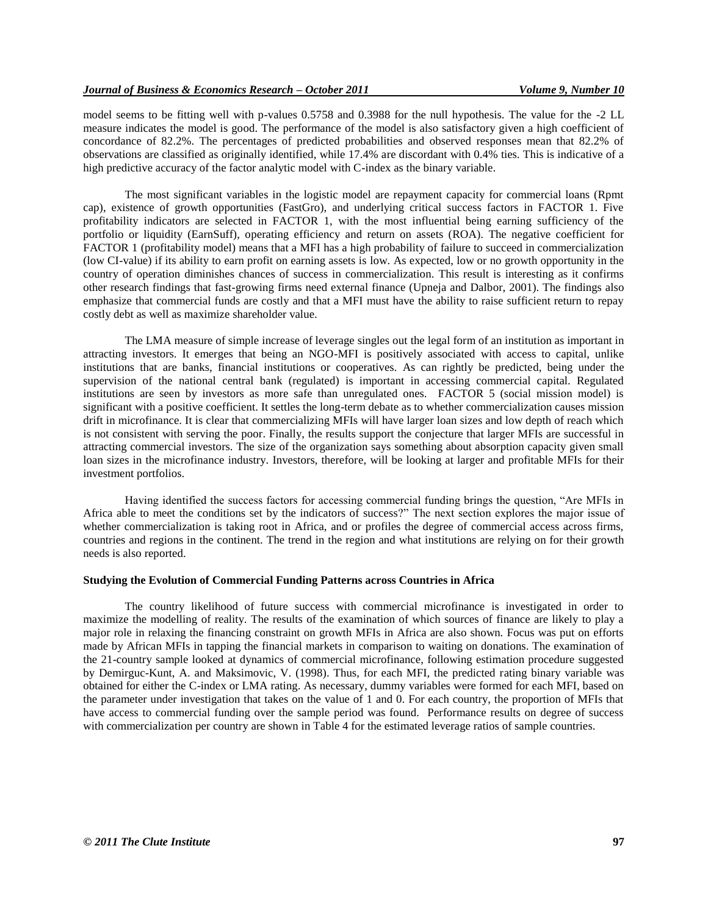model seems to be fitting well with p-values 0.5758 and 0.3988 for the null hypothesis. The value for the -2 LL measure indicates the model is good. The performance of the model is also satisfactory given a high coefficient of concordance of 82.2%. The percentages of predicted probabilities and observed responses mean that 82.2% of observations are classified as originally identified, while 17.4% are discordant with 0.4% ties. This is indicative of a high predictive accuracy of the factor analytic model with C-index as the binary variable.

The most significant variables in the logistic model are repayment capacity for commercial loans (Rpmt cap), existence of growth opportunities (FastGro), and underlying critical success factors in FACTOR 1. Five profitability indicators are selected in FACTOR 1, with the most influential being earning sufficiency of the portfolio or liquidity (EarnSuff), operating efficiency and return on assets (ROA). The negative coefficient for FACTOR 1 (profitability model) means that a MFI has a high probability of failure to succeed in commercialization (low CI-value) if its ability to earn profit on earning assets is low. As expected, low or no growth opportunity in the country of operation diminishes chances of success in commercialization. This result is interesting as it confirms other research findings that fast-growing firms need external finance (Upneja and Dalbor, 2001). The findings also emphasize that commercial funds are costly and that a MFI must have the ability to raise sufficient return to repay costly debt as well as maximize shareholder value.

The LMA measure of simple increase of leverage singles out the legal form of an institution as important in attracting investors. It emerges that being an NGO-MFI is positively associated with access to capital, unlike institutions that are banks, financial institutions or cooperatives. As can rightly be predicted, being under the supervision of the national central bank (regulated) is important in accessing commercial capital. Regulated institutions are seen by investors as more safe than unregulated ones. FACTOR 5 (social mission model) is significant with a positive coefficient. It settles the long-term debate as to whether commercialization causes mission drift in microfinance. It is clear that commercializing MFIs will have larger loan sizes and low depth of reach which is not consistent with serving the poor. Finally, the results support the conjecture that larger MFIs are successful in attracting commercial investors. The size of the organization says something about absorption capacity given small loan sizes in the microfinance industry. Investors, therefore, will be looking at larger and profitable MFIs for their investment portfolios.

Having identified the success factors for accessing commercial funding brings the question, "Are MFIs in Africa able to meet the conditions set by the indicators of success?" The next section explores the major issue of whether commercialization is taking root in Africa, and or profiles the degree of commercial access across firms, countries and regions in the continent. The trend in the region and what institutions are relying on for their growth needs is also reported.

#### **Studying the Evolution of Commercial Funding Patterns across Countries in Africa**

The country likelihood of future success with commercial microfinance is investigated in order to maximize the modelling of reality. The results of the examination of which sources of finance are likely to play a major role in relaxing the financing constraint on growth MFIs in Africa are also shown. Focus was put on efforts made by African MFIs in tapping the financial markets in comparison to waiting on donations. The examination of the 21-country sample looked at dynamics of commercial microfinance, following estimation procedure suggested by Demirguc-Kunt, A. and Maksimovic, V. (1998). Thus, for each MFI, the predicted rating binary variable was obtained for either the C-index or LMA rating. As necessary, dummy variables were formed for each MFI, based on the parameter under investigation that takes on the value of 1 and 0. For each country, the proportion of MFIs that have access to commercial funding over the sample period was found. Performance results on degree of success with commercialization per country are shown in Table 4 for the estimated leverage ratios of sample countries.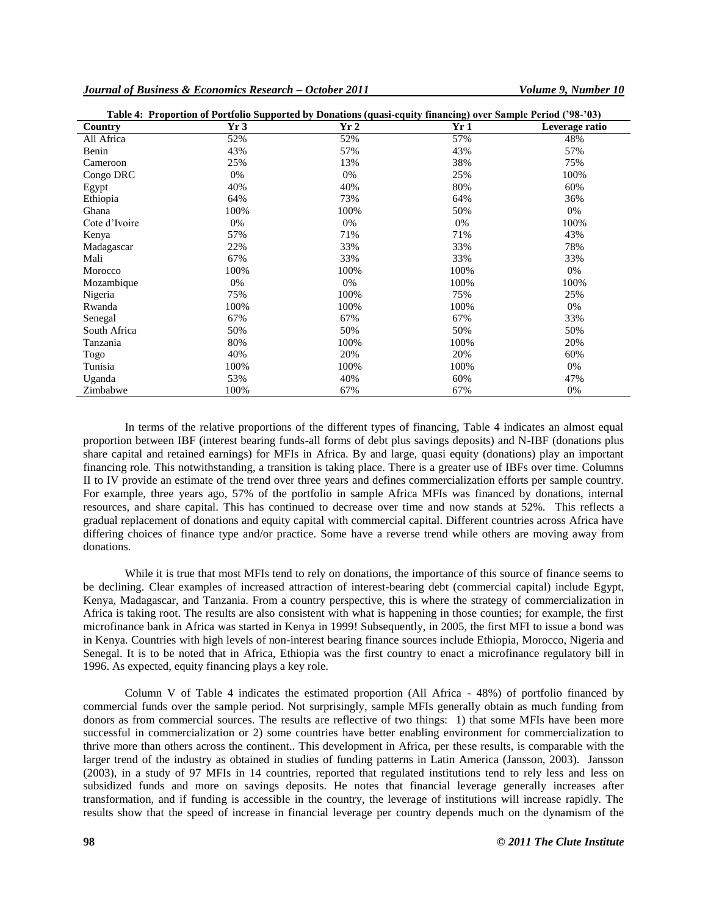|               | Table 4: Proportion of Portfolio Supported by Donations (quasi-equity financing) over Sample Period ('98-'03) |      |      |                |
|---------------|---------------------------------------------------------------------------------------------------------------|------|------|----------------|
| Country       | Yr3                                                                                                           | Yr2  | Yr1  | Leverage ratio |
| All Africa    | 52%                                                                                                           | 52%  | 57%  | 48%            |
| Benin         | 43%                                                                                                           | 57%  | 43%  | 57%            |
| Cameroon      | 25%                                                                                                           | 13%  | 38%  | 75%            |
| Congo DRC     | 0%                                                                                                            | 0%   | 25%  | 100%           |
| Egypt         | 40%                                                                                                           | 40%  | 80%  | 60%            |
| Ethiopia      | 64%                                                                                                           | 73%  | 64%  | 36%            |
| Ghana         | 100%                                                                                                          | 100% | 50%  | 0%             |
| Cote d'Ivoire | 0%                                                                                                            | 0%   | 0%   | 100%           |
| Kenya         | 57%                                                                                                           | 71%  | 71%  | 43%            |
| Madagascar    | 22%                                                                                                           | 33%  | 33%  | 78%            |
| Mali          | 67%                                                                                                           | 33%  | 33%  | 33%            |
| Morocco       | 100%                                                                                                          | 100% | 100% | 0%             |
| Mozambique    | 0%                                                                                                            | 0%   | 100% | 100%           |
| Nigeria       | 75%                                                                                                           | 100% | 75%  | 25%            |
| Rwanda        | 100%                                                                                                          | 100% | 100% | 0%             |
| Senegal       | 67%                                                                                                           | 67%  | 67%  | 33%            |
| South Africa  | 50%                                                                                                           | 50%  | 50%  | 50%            |
| Tanzania      | 80%                                                                                                           | 100% | 100% | 20%            |
| Togo          | 40%                                                                                                           | 20%  | 20%  | 60%            |
| Tunisia       | 100%                                                                                                          | 100% | 100% | 0%             |
| Uganda        | 53%                                                                                                           | 40%  | 60%  | 47%            |
| Zimbabwe      | 100%                                                                                                          | 67%  | 67%  | 0%             |

In terms of the relative proportions of the different types of financing, Table 4 indicates an almost equal proportion between IBF (interest bearing funds-all forms of debt plus savings deposits) and N-IBF (donations plus share capital and retained earnings) for MFIs in Africa. By and large, quasi equity (donations) play an important financing role. This notwithstanding, a transition is taking place. There is a greater use of IBFs over time. Columns II to IV provide an estimate of the trend over three years and defines commercialization efforts per sample country. For example, three years ago, 57% of the portfolio in sample Africa MFIs was financed by donations, internal resources, and share capital. This has continued to decrease over time and now stands at 52%. This reflects a gradual replacement of donations and equity capital with commercial capital. Different countries across Africa have differing choices of finance type and/or practice. Some have a reverse trend while others are moving away from donations.

While it is true that most MFIs tend to rely on donations, the importance of this source of finance seems to be declining. Clear examples of increased attraction of interest-bearing debt (commercial capital) include Egypt, Kenya, Madagascar, and Tanzania. From a country perspective, this is where the strategy of commercialization in Africa is taking root. The results are also consistent with what is happening in those counties; for example, the first microfinance bank in Africa was started in Kenya in 1999! Subsequently, in 2005, the first MFI to issue a bond was in Kenya. Countries with high levels of non-interest bearing finance sources include Ethiopia, Morocco, Nigeria and Senegal. It is to be noted that in Africa, Ethiopia was the first country to enact a microfinance regulatory bill in 1996. As expected, equity financing plays a key role.

Column V of Table 4 indicates the estimated proportion (All Africa - 48%) of portfolio financed by commercial funds over the sample period. Not surprisingly, sample MFIs generally obtain as much funding from donors as from commercial sources. The results are reflective of two things: 1) that some MFIs have been more successful in commercialization or 2) some countries have better enabling environment for commercialization to thrive more than others across the continent.. This development in Africa, per these results, is comparable with the larger trend of the industry as obtained in studies of funding patterns in Latin America (Jansson, 2003). Jansson (2003), in a study of 97 MFIs in 14 countries, reported that regulated institutions tend to rely less and less on subsidized funds and more on savings deposits. He notes that financial leverage generally increases after transformation, and if funding is accessible in the country, the leverage of institutions will increase rapidly. The results show that the speed of increase in financial leverage per country depends much on the dynamism of the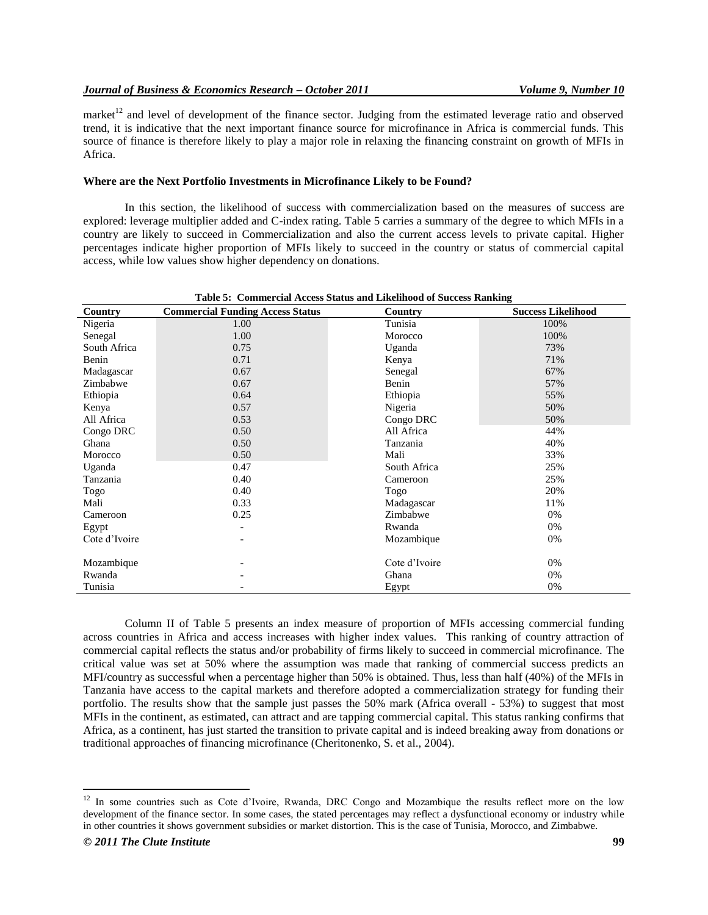market $12$  and level of development of the finance sector. Judging from the estimated leverage ratio and observed trend, it is indicative that the next important finance source for microfinance in Africa is commercial funds. This source of finance is therefore likely to play a major role in relaxing the financing constraint on growth of MFIs in Africa.

#### **Where are the Next Portfolio Investments in Microfinance Likely to be Found?**

In this section, the likelihood of success with commercialization based on the measures of success are explored: leverage multiplier added and C-index rating. Table 5 carries a summary of the degree to which MFIs in a country are likely to succeed in Commercialization and also the current access levels to private capital. Higher percentages indicate higher proportion of MFIs likely to succeed in the country or status of commercial capital access, while low values show higher dependency on donations.

| Table 5: Commercial Access Status and Likelihood of Success Ranking |                                         |               |                           |
|---------------------------------------------------------------------|-----------------------------------------|---------------|---------------------------|
| Country                                                             | <b>Commercial Funding Access Status</b> | Country       | <b>Success Likelihood</b> |
| Nigeria                                                             | 1.00                                    | Tunisia       | 100%                      |
| Senegal                                                             | 1.00                                    | Morocco       | 100%                      |
| South Africa                                                        | 0.75                                    | Uganda        | 73%                       |
| Benin                                                               | 0.71                                    | Kenya         | 71%                       |
| Madagascar                                                          | 0.67                                    | Senegal       | 67%                       |
| Zimbabwe                                                            | 0.67                                    | Benin         | 57%                       |
| Ethiopia                                                            | 0.64                                    | Ethiopia      | 55%                       |
| Kenya                                                               | 0.57                                    | Nigeria       | 50%                       |
| All Africa                                                          | 0.53                                    | Congo DRC     | 50%                       |
| Congo DRC                                                           | 0.50                                    | All Africa    | 44%                       |
| Ghana                                                               | 0.50                                    | Tanzania      | 40%                       |
| Morocco                                                             | 0.50                                    | Mali          | 33%                       |
| Uganda                                                              | 0.47                                    | South Africa  | 25%                       |
| Tanzania                                                            | 0.40                                    | Cameroon      | 25%                       |
| Togo                                                                | 0.40                                    | Togo          | 20%                       |
| Mali                                                                | 0.33                                    | Madagascar    | 11%                       |
| Cameroon                                                            | 0.25                                    | Zimbabwe      | 0%                        |
| Egypt                                                               |                                         | Rwanda        | 0%                        |
| Cote d'Ivoire                                                       |                                         | Mozambique    | 0%                        |
| Mozambique                                                          |                                         | Cote d'Ivoire | 0%                        |
| Rwanda                                                              |                                         | Ghana         | 0%                        |
| Tunisia                                                             |                                         | Egypt         | 0%                        |

Column II of Table 5 presents an index measure of proportion of MFIs accessing commercial funding across countries in Africa and access increases with higher index values. This ranking of country attraction of commercial capital reflects the status and/or probability of firms likely to succeed in commercial microfinance. The critical value was set at 50% where the assumption was made that ranking of commercial success predicts an MFI/country as successful when a percentage higher than 50% is obtained. Thus, less than half (40%) of the MFIs in Tanzania have access to the capital markets and therefore adopted a commercialization strategy for funding their portfolio. The results show that the sample just passes the 50% mark (Africa overall - 53%) to suggest that most MFIs in the continent, as estimated, can attract and are tapping commercial capital. This status ranking confirms that Africa, as a continent, has just started the transition to private capital and is indeed breaking away from donations or traditional approaches of financing microfinance (Cheritonenko, S. et al., 2004).

 $12$  In some countries such as Cote d'Ivoire, Rwanda, DRC Congo and Mozambique the results reflect more on the low development of the finance sector. In some cases, the stated percentages may reflect a dysfunctional economy or industry while in other countries it shows government subsidies or market distortion. This is the case of Tunisia, Morocco, and Zimbabwe.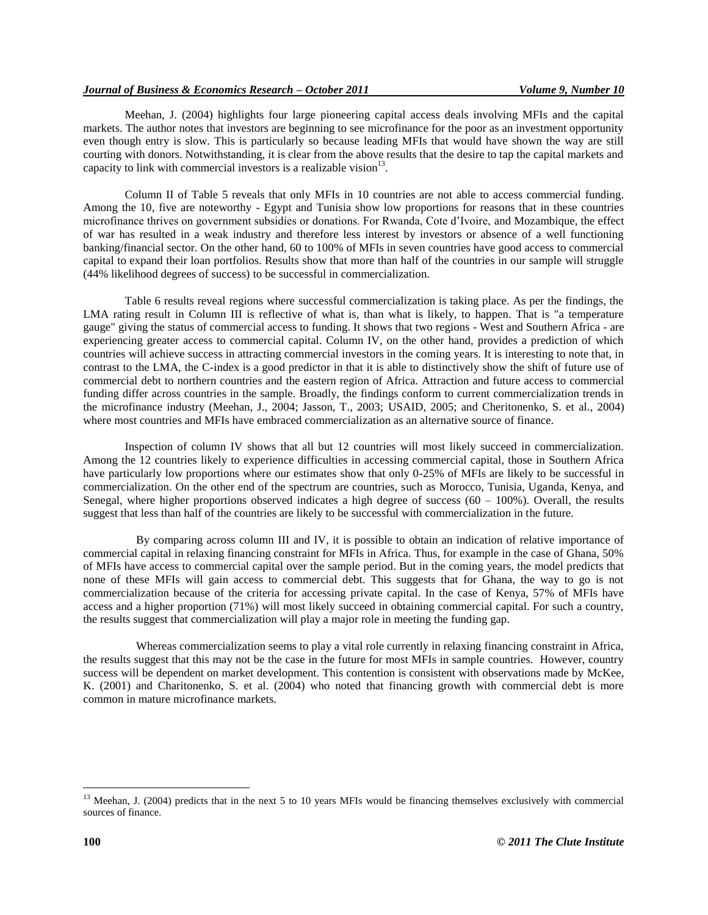Meehan, J. (2004) highlights four large pioneering capital access deals involving MFIs and the capital markets. The author notes that investors are beginning to see microfinance for the poor as an investment opportunity even though entry is slow. This is particularly so because leading MFIs that would have shown the way are still courting with donors. Notwithstanding, it is clear from the above results that the desire to tap the capital markets and capacity to link with commercial investors is a realizable vision $13$ .

Column II of Table 5 reveals that only MFIs in 10 countries are not able to access commercial funding. Among the 10, five are noteworthy - Egypt and Tunisia show low proportions for reasons that in these countries microfinance thrives on government subsidies or donations. For Rwanda, Cote d"Ivoire, and Mozambique, the effect of war has resulted in a weak industry and therefore less interest by investors or absence of a well functioning banking/financial sector. On the other hand, 60 to 100% of MFIs in seven countries have good access to commercial capital to expand their loan portfolios. Results show that more than half of the countries in our sample will struggle (44% likelihood degrees of success) to be successful in commercialization.

Table 6 results reveal regions where successful commercialization is taking place. As per the findings, the LMA rating result in Column III is reflective of what is, than what is likely, to happen. That is "a temperature gauge" giving the status of commercial access to funding. It shows that two regions - West and Southern Africa - are experiencing greater access to commercial capital. Column IV, on the other hand, provides a prediction of which countries will achieve success in attracting commercial investors in the coming years. It is interesting to note that, in contrast to the LMA, the C-index is a good predictor in that it is able to distinctively show the shift of future use of commercial debt to northern countries and the eastern region of Africa. Attraction and future access to commercial funding differ across countries in the sample. Broadly, the findings conform to current commercialization trends in the microfinance industry (Meehan, J., 2004; Jasson, T., 2003; USAID, 2005; and Cheritonenko, S. et al., 2004) where most countries and MFIs have embraced commercialization as an alternative source of finance.

Inspection of column IV shows that all but 12 countries will most likely succeed in commercialization. Among the 12 countries likely to experience difficulties in accessing commercial capital, those in Southern Africa have particularly low proportions where our estimates show that only 0-25% of MFIs are likely to be successful in commercialization. On the other end of the spectrum are countries, such as Morocco, Tunisia, Uganda, Kenya, and Senegal, where higher proportions observed indicates a high degree of success  $(60 - 100\%)$ . Overall, the results suggest that less than half of the countries are likely to be successful with commercialization in the future.

By comparing across column III and IV, it is possible to obtain an indication of relative importance of commercial capital in relaxing financing constraint for MFIs in Africa. Thus, for example in the case of Ghana, 50% of MFIs have access to commercial capital over the sample period. But in the coming years, the model predicts that none of these MFIs will gain access to commercial debt. This suggests that for Ghana, the way to go is not commercialization because of the criteria for accessing private capital. In the case of Kenya, 57% of MFIs have access and a higher proportion (71%) will most likely succeed in obtaining commercial capital. For such a country, the results suggest that commercialization will play a major role in meeting the funding gap.

Whereas commercialization seems to play a vital role currently in relaxing financing constraint in Africa, the results suggest that this may not be the case in the future for most MFIs in sample countries. However, country success will be dependent on market development. This contention is consistent with observations made by McKee, K. (2001) and Charitonenko, S. et al. (2004) who noted that financing growth with commercial debt is more common in mature microfinance markets.

<sup>&</sup>lt;sup>13</sup> Meehan, J. (2004) predicts that in the next 5 to 10 years MFIs would be financing themselves exclusively with commercial sources of finance.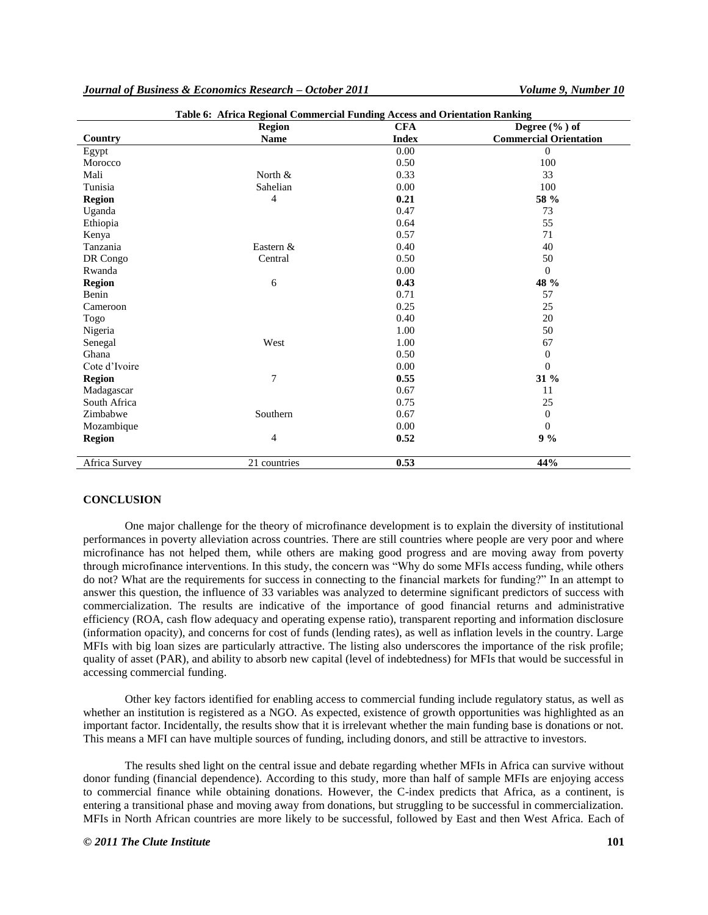| Journal of Business & Economics Research – October 2011 |  |  |  |  |  |
|---------------------------------------------------------|--|--|--|--|--|
|---------------------------------------------------------|--|--|--|--|--|

*Journal of Business & Economics Research – October 2011 Volume 9, Number 10*

| Table 6: Africa Regional Commercial Funding Access and Orientation Ranking |                |              |                               |  |
|----------------------------------------------------------------------------|----------------|--------------|-------------------------------|--|
|                                                                            | <b>Region</b>  | <b>CFA</b>   | Degree $(\% )$ of             |  |
| Country                                                                    | <b>Name</b>    | <b>Index</b> | <b>Commercial Orientation</b> |  |
| Egypt                                                                      |                | 0.00         | $\Omega$                      |  |
| Morocco                                                                    |                | 0.50         | 100                           |  |
| Mali                                                                       | North &        | 0.33         | 33                            |  |
| Tunisia                                                                    | Sahelian       | 0.00         | 100                           |  |
| <b>Region</b>                                                              | 4              | 0.21         | 58 %                          |  |
| Uganda                                                                     |                | 0.47         | 73                            |  |
| Ethiopia                                                                   |                | 0.64         | 55                            |  |
| Kenya                                                                      |                | 0.57         | 71                            |  |
| Tanzania                                                                   | Eastern &      | 0.40         | 40                            |  |
| DR Congo                                                                   | Central        | 0.50         | 50                            |  |
| Rwanda                                                                     |                | 0.00         | $\overline{0}$                |  |
| <b>Region</b>                                                              | 6              | 0.43         | 48 %                          |  |
| Benin                                                                      |                | 0.71         | 57                            |  |
| Cameroon                                                                   |                | 0.25         | 25                            |  |
| Togo                                                                       |                | 0.40         | 20                            |  |
| Nigeria                                                                    |                | 1.00         | 50                            |  |
| Senegal                                                                    | West           | 1.00         | 67                            |  |
| Ghana                                                                      |                | 0.50         | $\overline{0}$                |  |
| Cote d'Ivoire                                                              |                | 0.00         | $\Omega$                      |  |
| <b>Region</b>                                                              | $\overline{7}$ | 0.55         | $31\%$                        |  |
| Madagascar                                                                 |                | 0.67         | 11                            |  |
| South Africa                                                               |                | 0.75         | 25                            |  |
| Zimbabwe                                                                   | Southern       | 0.67         | $\overline{0}$                |  |
| Mozambique                                                                 |                | 0.00         | $\mathbf{0}$                  |  |
| <b>Region</b>                                                              | $\overline{4}$ | 0.52         | $9\%$                         |  |
| Africa Survey                                                              | 21 countries   | 0.53         | 44%                           |  |

#### **CONCLUSION**

One major challenge for the theory of microfinance development is to explain the diversity of institutional performances in poverty alleviation across countries. There are still countries where people are very poor and where microfinance has not helped them, while others are making good progress and are moving away from poverty through microfinance interventions. In this study, the concern was "Why do some MFIs access funding, while others do not? What are the requirements for success in connecting to the financial markets for funding?" In an attempt to answer this question, the influence of 33 variables was analyzed to determine significant predictors of success with commercialization. The results are indicative of the importance of good financial returns and administrative efficiency (ROA, cash flow adequacy and operating expense ratio), transparent reporting and information disclosure (information opacity), and concerns for cost of funds (lending rates), as well as inflation levels in the country. Large MFIs with big loan sizes are particularly attractive. The listing also underscores the importance of the risk profile; quality of asset (PAR), and ability to absorb new capital (level of indebtedness) for MFIs that would be successful in accessing commercial funding.

Other key factors identified for enabling access to commercial funding include regulatory status, as well as whether an institution is registered as a NGO. As expected, existence of growth opportunities was highlighted as an important factor. Incidentally, the results show that it is irrelevant whether the main funding base is donations or not. This means a MFI can have multiple sources of funding, including donors, and still be attractive to investors.

The results shed light on the central issue and debate regarding whether MFIs in Africa can survive without donor funding (financial dependence). According to this study, more than half of sample MFIs are enjoying access to commercial finance while obtaining donations. However, the C-index predicts that Africa, as a continent, is entering a transitional phase and moving away from donations, but struggling to be successful in commercialization. MFIs in North African countries are more likely to be successful, followed by East and then West Africa. Each of

#### *© 2011 The Clute Institute* **101**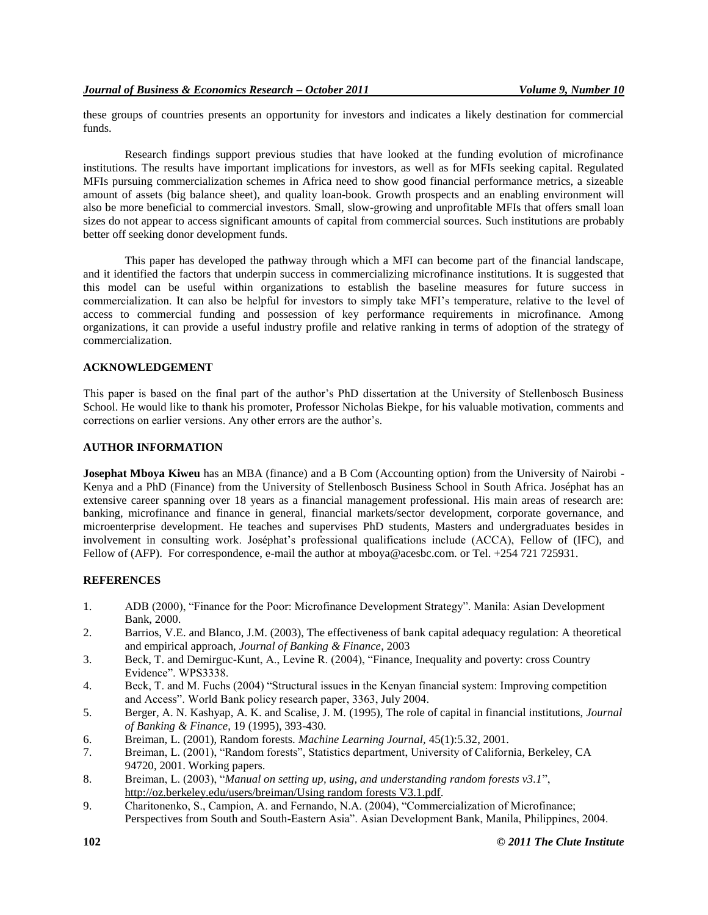these groups of countries presents an opportunity for investors and indicates a likely destination for commercial funds.

Research findings support previous studies that have looked at the funding evolution of microfinance institutions. The results have important implications for investors, as well as for MFIs seeking capital. Regulated MFIs pursuing commercialization schemes in Africa need to show good financial performance metrics, a sizeable amount of assets (big balance sheet), and quality loan-book. Growth prospects and an enabling environment will also be more beneficial to commercial investors. Small, slow-growing and unprofitable MFIs that offers small loan sizes do not appear to access significant amounts of capital from commercial sources. Such institutions are probably better off seeking donor development funds.

This paper has developed the pathway through which a MFI can become part of the financial landscape, and it identified the factors that underpin success in commercializing microfinance institutions. It is suggested that this model can be useful within organizations to establish the baseline measures for future success in commercialization. It can also be helpful for investors to simply take MFI"s temperature, relative to the level of access to commercial funding and possession of key performance requirements in microfinance. Among organizations, it can provide a useful industry profile and relative ranking in terms of adoption of the strategy of commercialization.

# **ACKNOWLEDGEMENT**

This paper is based on the final part of the author"s PhD dissertation at the University of Stellenbosch Business School. He would like to thank his promoter, Professor Nicholas Biekpe, for his valuable motivation, comments and corrections on earlier versions. Any other errors are the author"s.

# **AUTHOR INFORMATION**

**Josephat Mboya Kiweu** has an MBA (finance) and a B Com (Accounting option) from the University of Nairobi - Kenya and a PhD (Finance) from the University of Stellenbosch Business School in South Africa. Joséphat has an extensive career spanning over 18 years as a financial management professional. His main areas of research are: banking, microfinance and finance in general, financial markets/sector development, corporate governance, and microenterprise development. He teaches and supervises PhD students, Masters and undergraduates besides in involvement in consulting work. Joséphat"s professional qualifications include (ACCA), Fellow of (IFC), and Fellow of (AFP). For correspondence, e-mail the author at mboya@acesbc.com. or Tel. +254 721 725931.

#### **REFERENCES**

- 1. ADB (2000), "Finance for the Poor: Microfinance Development Strategy". Manila: Asian Development Bank, 2000.
- 2. Barrios, V.E. and Blanco, J.M. (2003), The effectiveness of bank capital adequacy regulation: A theoretical and empirical approach, *Journal of Banking & Finance*, 2003
- 3. Beck, T. and Demirguc-Kunt, A., Levine R. (2004), "Finance, Inequality and poverty: cross Country Evidence". WPS3338.
- 4. Beck, T. and M. Fuchs (2004) "Structural issues in the Kenyan financial system: Improving competition and Access". World Bank policy research paper, 3363, July 2004.
- 5. Berger, A. N. Kashyap, A. K. and Scalise, J. M. (1995), The role of capital in financial institutions, *Journal of Banking & Finance*, 19 (1995), 393-430.
- 6. Breiman, L. (2001), Random forests. *Machine Learning Journal,* 45(1):5.32, 2001.
- 7. Breiman, L. (2001), "Random forests", Statistics department, University of California, Berkeley, CA 94720, 2001. Working papers.
- 8. Breiman, L. (2003), "*Manual on setting up, using, and understanding random forests v3.1*", [http://oz.berkeley.edu/users/breiman/Using random forests V3.1.pdf.](http://oz.berkeley.edu/users/breiman/Using%20random%20forests%20V3.1.pdf)
- 9. Charitonenko, S., Campion, A. and Fernando, N.A. (2004), "Commercialization of Microfinance; Perspectives from South and South-Eastern Asia". Asian Development Bank, Manila, Philippines, 2004.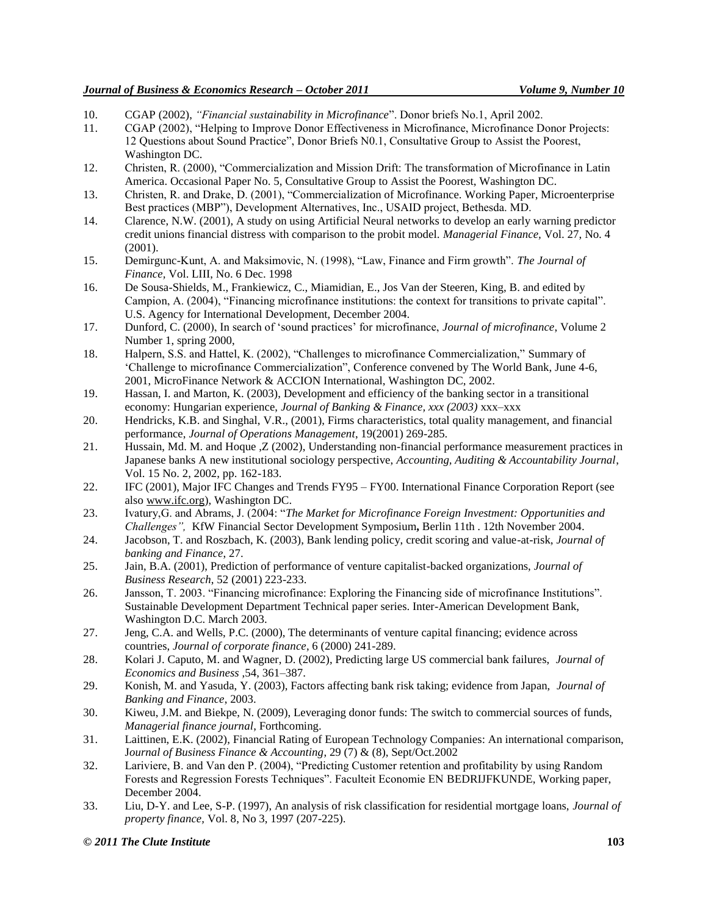- 10. CGAP (2002), *"Financial sustainability in Microfinance*". Donor briefs No.1, April 2002.
- 11. CGAP (2002), "Helping to Improve Donor Effectiveness in Microfinance, Microfinance Donor Projects: 12 Questions about Sound Practice", Donor Briefs N0.1, Consultative Group to Assist the Poorest, Washington DC.
- 12. Christen, R. (2000), "Commercialization and Mission Drift: The transformation of Microfinance in Latin America. Occasional Paper No. 5, Consultative Group to Assist the Poorest, Washington DC.
- 13. Christen, R. and Drake, D. (2001), "Commercialization of Microfinance. Working Paper, Microenterprise Best practices (MBP"), Development Alternatives, Inc., USAID project, Bethesda. MD.
- 14. Clarence, N.W. (2001), A study on using Artificial Neural networks to develop an early warning predictor credit unions financial distress with comparison to the probit model. *Managerial Finance,* Vol. 27, No. 4 (2001).
- 15. Demirgunc-Kunt, A. and Maksimovic, N. (1998), "Law, Finance and Firm growth". *The Journal of Finance,* Vol. LIII, No. 6 Dec. 1998
- 16. De Sousa-Shields, M., Frankiewicz, C., Miamidian, E., Jos Van der Steeren, King, B. and edited by Campion, A. (2004), "Financing microfinance institutions: the context for transitions to private capital". U.S. Agency for International Development, December 2004.
- 17. Dunford, C. (2000), In search of "sound practices" for microfinance, *Journal of microfinance*, Volume 2 Number 1, spring 2000,
- 18. Halpern, S.S. and Hattel, K. (2002), "Challenges to microfinance Commercialization," Summary of "Challenge to microfinance Commercialization", Conference convened by The World Bank, June 4-6, 2001, MicroFinance Network & ACCION International, Washington DC, 2002.
- 19. Hassan, I. and Marton, K. (2003), Development and efficiency of the banking sector in a transitional economy: Hungarian experience, *Journal of Banking & Finance, xxx (2003)* xxx–xxx
- 20. Hendricks, K.B. and Singhal, V.R., (2001), Firms characteristics, total quality management, and financial performance, *Journal of Operations Management*, 19(2001) 269-285.
- 21. Hussain, Md. M. and Hoque ,Z (2002), Understanding non-financial performance measurement practices in Japanese banks A new institutional sociology perspective, *Accounting, Auditing & Accountability Journal*, Vol. 15 No. 2, 2002, pp. 162-183.
- 22. IFC (2001), Major IFC Changes and Trends FY95 FY00. International Finance Corporation Report (see also www.ifc.org), Washington DC.
- 23. Ivatury,G. and Abrams, J. (2004: "*The Market for Microfinance Foreign Investment: Opportunities and Challenges",* KfW Financial Sector Development Symposium**,** Berlin 11th . 12th November 2004.
- 24. Jacobson, T. and Roszbach, K. (2003), Bank lending policy, credit scoring and value-at-risk, *Journal of banking and Finance*, 27.
- 25. Jain, B.A. (2001), Prediction of performance of venture capitalist-backed organizations, *Journal of Business Research*, 52 (2001) 223-233.
- 26. Jansson, T. 2003. "Financing microfinance: Exploring the Financing side of microfinance Institutions". Sustainable Development Department Technical paper series. Inter-American Development Bank, Washington D.C. March 2003.
- 27. Jeng, C.A. and Wells, P.C. (2000), The determinants of venture capital financing; evidence across countries, *Journal of corporate finance*, 6 (2000) 241-289.
- 28. Kolari J. Caputo, M. and Wagner, D. (2002), Predicting large US commercial bank failures, *Journal of Economics and Business* ,54, 361–387.
- 29. Konish, M. and Yasuda, Y. (2003), Factors affecting bank risk taking; evidence from Japan, *Journal of Banking and Finance*, 2003.
- 30. Kiweu, J.M. and Biekpe, N. (2009), Leveraging donor funds: The switch to commercial sources of funds, *Managerial finance journal*, Forthcoming.
- 31. Laittinen, E.K. (2002), Financial Rating of European Technology Companies: An international comparison, J*ournal of Business Finance & Accounting*, 29 (7) & (8), Sept/Oct.2002
- 32. Lariviere, B. and Van den P. (2004), "Predicting Customer retention and profitability by using Random Forests and Regression Forests Techniques". Faculteit Economie EN BEDRIJFKUNDE, Working paper, December 2004.
- 33. Liu, D-Y. and Lee, S-P. (1997), An analysis of risk classification for residential mortgage loans, *Journal of property finance,* Vol. 8, No 3, 1997 (207-225).